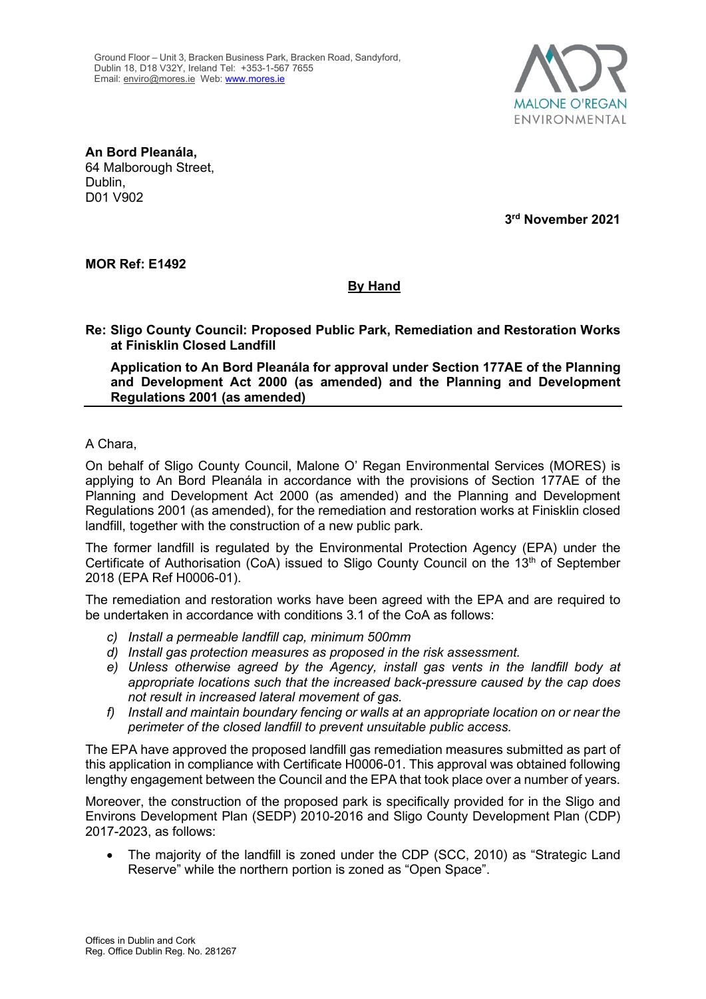

**An Bord Pleanála,** 64 Malborough Street, Dublin, D01 V902

**3rd November 2021**

**MOR Ref: E1492**

## **By Hand**

**Re: Sligo County Council: Proposed Public Park, Remediation and Restoration Works at Finisklin Closed Landfill**

**Application to An Bord Pleanála for approval under Section 177AE of the Planning and Development Act 2000 (as amended) and the Planning and Development Regulations 2001 (as amended)**

A Chara,

On behalf of Sligo County Council, Malone O' Regan Environmental Services (MORES) is applying to An Bord Pleanála in accordance with the provisions of Section 177AE of the Planning and Development Act 2000 (as amended) and the Planning and Development Regulations 2001 (as amended), for the remediation and restoration works at Finisklin closed landfill, together with the construction of a new public park.

The former landfill is regulated by the Environmental Protection Agency (EPA) under the Certificate of Authorisation (CoA) issued to Sligo County Council on the  $13<sup>th</sup>$  of September 2018 (EPA Ref H0006-01).

The remediation and restoration works have been agreed with the EPA and are required to be undertaken in accordance with conditions 3.1 of the CoA as follows:

- *c) Install a permeable landfill cap, minimum 500mm*
- *d) Install gas protection measures as proposed in the risk assessment.*
- *e) Unless otherwise agreed by the Agency, install gas vents in the landfill body at appropriate locations such that the increased back-pressure caused by the cap does not result in increased lateral movement of gas.*
- *f) Install and maintain boundary fencing or walls at an appropriate location on or near the perimeter of the closed landfill to prevent unsuitable public access.*

The EPA have approved the proposed landfill gas remediation measures submitted as part of this application in compliance with Certificate H0006-01. This approval was obtained following lengthy engagement between the Council and the EPA that took place over a number of years.

Moreover, the construction of the proposed park is specifically provided for in the Sligo and Environs Development Plan (SEDP) 2010-2016 and Sligo County Development Plan (CDP) 2017-2023, as follows:

• The majority of the landfill is zoned under the CDP (SCC, 2010) as "Strategic Land Reserve" while the northern portion is zoned as "Open Space".